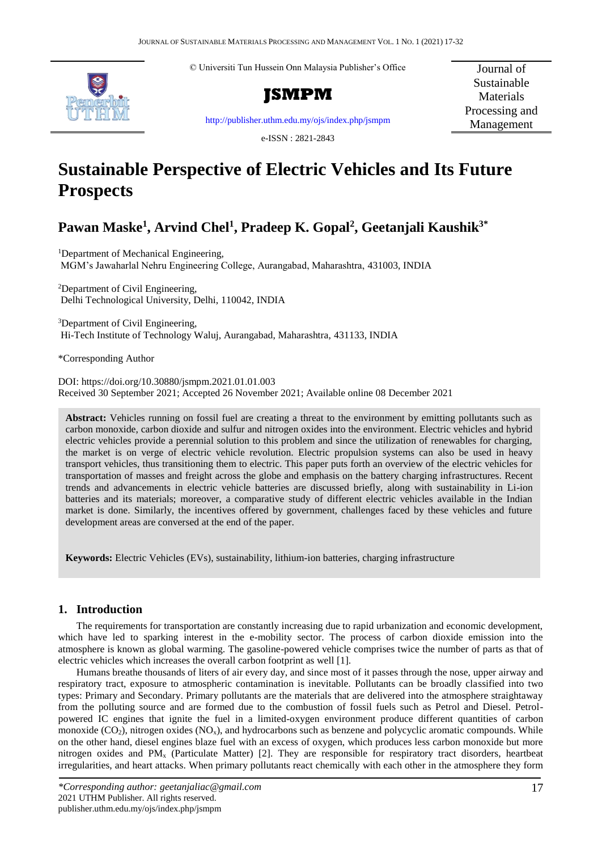© Universiti Tun Hussein Onn Malaysia Publisher's Office





<http://publisher.uthm.edu.my/ojs/index.php/jsmpm>

e-ISSN : 2821-2843

Journal of Sustainable **Materials** Processing and Management

# **Sustainable Perspective of Electric Vehicles and Its Future Prospects**

# **Pawan Maske<sup>1</sup> , Arvind Chel<sup>1</sup> , Pradeep K. Gopal<sup>2</sup> , Geetanjali Kaushik3\***

<sup>1</sup>Department of Mechanical Engineering, MGM's Jawaharlal Nehru Engineering College, Aurangabad, Maharashtra, 431003, INDIA

<sup>2</sup>Department of Civil Engineering, Delhi Technological University, Delhi, 110042, INDIA

<sup>3</sup>Department of Civil Engineering, Hi-Tech Institute of Technology Waluj, Aurangabad, Maharashtra, 431133, INDIA

\*Corresponding Author

DOI: https://doi.org/10.30880/jsmpm.2021.01.01.003 Received 30 September 2021; Accepted 26 November 2021; Available online 08 December 2021

**Abstract:** Vehicles running on fossil fuel are creating a threat to the environment by emitting pollutants such as carbon monoxide, carbon dioxide and sulfur and nitrogen oxides into the environment. Electric vehicles and hybrid electric vehicles provide a perennial solution to this problem and since the utilization of renewables for charging, the market is on verge of electric vehicle revolution. Electric propulsion systems can also be used in heavy transport vehicles, thus transitioning them to electric. This paper puts forth an overview of the electric vehicles for transportation of masses and freight across the globe and emphasis on the battery charging infrastructures. Recent trends and advancements in electric vehicle batteries are discussed briefly, along with sustainability in Li-ion batteries and its materials; moreover, a comparative study of different electric vehicles available in the Indian market is done. Similarly, the incentives offered by government, challenges faced by these vehicles and future development areas are conversed at the end of the paper.

**Keywords:** Electric Vehicles (EVs), sustainability, lithium-ion batteries, charging infrastructure

# **1. Introduction**

The requirements for transportation are constantly increasing due to rapid urbanization and economic development, which have led to sparking interest in the e-mobility sector. The process of carbon dioxide emission into the atmosphere is known as global warming. The gasoline-powered vehicle comprises twice the number of parts as that of electric vehicles which increases the overall carbon footprint as well [1].

Humans breathe thousands of liters of air every day, and since most of it passes through the nose, upper airway and respiratory tract, exposure to atmospheric contamination is inevitable. Pollutants can be broadly classified into two types: Primary and Secondary. Primary pollutants are the materials that are delivered into the atmosphere straightaway from the polluting source and are formed due to the combustion of fossil fuels such as Petrol and Diesel. Petrolpowered IC engines that ignite the fuel in a limited-oxygen environment produce different quantities of carbon monoxide ( $CO<sub>2</sub>$ ), nitrogen oxides ( $NO<sub>x</sub>$ ), and hydrocarbons such as benzene and polycyclic aromatic compounds. While on the other hand, diesel engines blaze fuel with an excess of oxygen, which produces less carbon monoxide but more nitrogen oxides and PM<sup>x</sup> (Particulate Matter) [2]. They are responsible for respiratory tract disorders, heartbeat irregularities, and heart attacks. When primary pollutants react chemically with each other in the atmosphere they form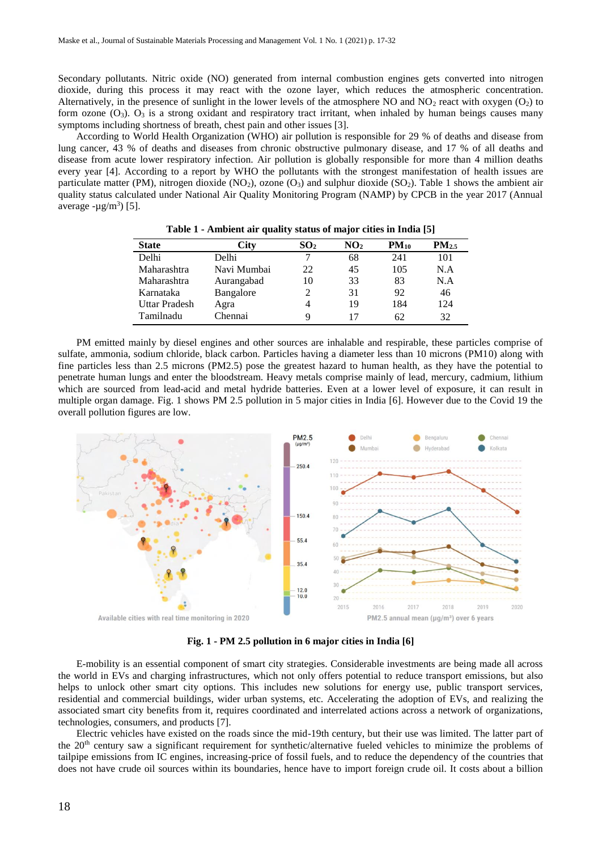Secondary pollutants. Nitric oxide (NO) generated from internal combustion engines gets converted into nitrogen dioxide, during this process it may react with the ozone layer, which reduces the atmospheric concentration. Alternatively, in the presence of sunlight in the lower levels of the atmosphere NO and  $NO_2$  react with oxygen ( $O_2$ ) to form ozone  $(O_3)$ .  $O_3$  is a strong oxidant and respiratory tract irritant, when inhaled by human beings causes many symptoms including shortness of breath, chest pain and other issues [3].

According to World Health Organization (WHO) air pollution is responsible for 29 % of deaths and disease from lung cancer, 43 % of deaths and diseases from chronic obstructive pulmonary disease, and 17 % of all deaths and disease from acute lower respiratory infection. Air pollution is globally responsible for more than 4 million deaths every year [4]. According to a report by WHO the pollutants with the strongest manifestation of health issues are particulate matter (PM), nitrogen dioxide (NO<sub>2</sub>), ozone (O<sub>3</sub>) and sulphur dioxide (SO<sub>2</sub>). Table 1 shows the ambient air quality status calculated under National Air Quality Monitoring Program (NAMP) by CPCB in the year 2017 (Annual average  $-\mu g/m^3$ ) [5].

| <b>State</b>         | City        | SO <sub>2</sub> | NO <sub>2</sub> | $PM_{10}$ | $PM_{2.5}$ |
|----------------------|-------------|-----------------|-----------------|-----------|------------|
| Delhi                | Delhi       |                 | 68              | 241       | 101        |
| Maharashtra          | Navi Mumbai | 22              | 45              | 105       | N.A        |
| Maharashtra          | Aurangabad  | 10              | 33              | 83        | N.A        |
| Karnataka            | Bangalore   |                 | 31              | 92        | 46         |
| <b>Uttar Pradesh</b> | Agra        | 4               | 19              | 184       | 124        |
| Tamilnadu            | Chennai     | q               |                 | 62        | 32         |

**Table 1 - Ambient air quality status of major cities in India [5]**

PM emitted mainly by diesel engines and other sources are inhalable and respirable, these particles comprise of sulfate, ammonia, sodium chloride, black carbon. Particles having a diameter less than 10 microns (PM10) along with fine particles less than 2.5 microns (PM2.5) pose the greatest hazard to human health, as they have the potential to penetrate human lungs and enter the bloodstream. Heavy metals comprise mainly of lead, mercury, cadmium, lithium which are sourced from lead-acid and metal hydride batteries. Even at a lower level of exposure, it can result in multiple organ damage. Fig. 1 shows PM 2.5 pollution in 5 major cities in India [6]. However due to the Covid 19 the overall pollution figures are low.



**Fig. 1 - PM 2.5 pollution in 6 major cities in India [6]**

E-mobility is an essential component of smart city strategies. Considerable investments are being made all across the world in EVs and charging infrastructures, which not only offers potential to reduce transport emissions, but also helps to unlock other smart city options. This includes new solutions for energy use, public transport services, residential and commercial buildings, wider urban systems, etc. Accelerating the adoption of EVs, and realizing the associated smart city benefits from it, requires coordinated and interrelated actions across a network of organizations, technologies, consumers, and products [7].

Electric vehicles have existed on the roads since the mid-19th century, but their use was limited. The latter part of the 20<sup>th</sup> century saw a significant requirement for synthetic/alternative fueled vehicles to minimize the problems of tailpipe emissions from IC engines, increasing-price of fossil fuels, and to reduce the dependency of the countries that does not have crude oil sources within its boundaries, hence have to import foreign crude oil. It costs about a billion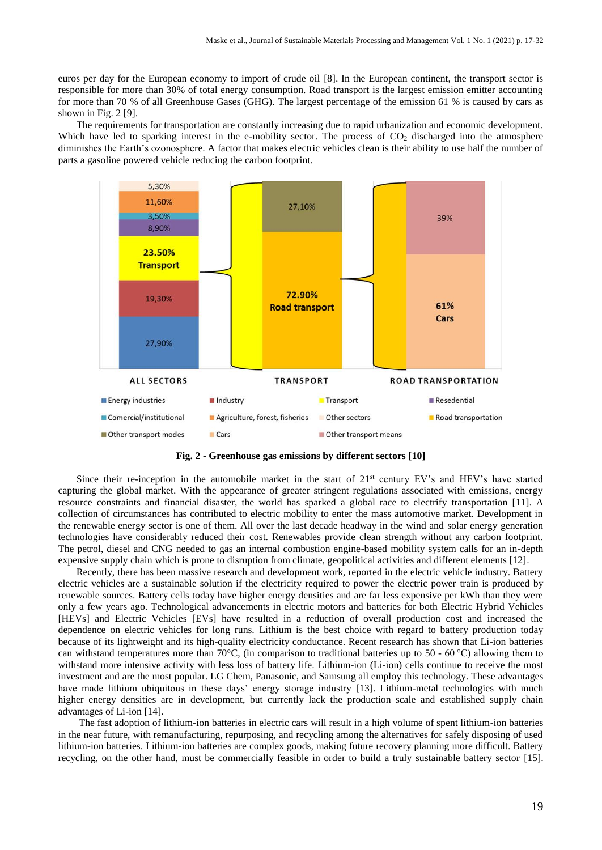euros per day for the European economy to import of crude oil [8]. In the European continent, the transport sector is responsible for more than 30% of total energy consumption. Road transport is the largest emission emitter accounting for more than 70 % of all Greenhouse Gases (GHG). The largest percentage of the emission 61 % is caused by cars as shown in Fig. 2 [9].

The requirements for transportation are constantly increasing due to rapid urbanization and economic development. Which have led to sparking interest in the e-mobility sector. The process of  $CO<sub>2</sub>$  discharged into the atmosphere diminishes the Earth's ozonosphere. A factor that makes electric vehicles clean is their ability to use half the number of parts a gasoline powered vehicle reducing the carbon footprint.



**Fig. 2 - Greenhouse gas emissions by different sectors [10]**

Since their re-inception in the automobile market in the start of  $21<sup>st</sup>$  century EV's and HEV's have started capturing the global market. With the appearance of greater stringent regulations associated with emissions, energy resource constraints and financial disaster, the world has sparked a global race to electrify transportation [11]. A collection of circumstances has contributed to electric mobility to enter the mass automotive market. Development in the renewable energy sector is one of them. All over the last decade headway in the wind and solar energy generation technologies have considerably reduced their cost. Renewables provide clean strength without any carbon footprint. The petrol, diesel and CNG needed to gas an internal combustion engine-based mobility system calls for an in-depth expensive supply chain which is prone to disruption from climate, geopolitical activities and different elements [12].

Recently, there has been massive research and development work, reported in the electric vehicle industry. Battery electric vehicles are a sustainable solution if the electricity required to power the electric power train is produced by renewable sources. Battery cells today have higher energy densities and are far less expensive per kWh than they were only a few years ago. Technological advancements in electric motors and batteries for both Electric Hybrid Vehicles [HEVs] and Electric Vehicles [EVs] have resulted in a reduction of overall production cost and increased the dependence on electric vehicles for long runs. Lithium is the best choice with regard to battery production today because of its lightweight and its high-quality electricity conductance. Recent research has shown that Li-ion batteries can withstand temperatures more than 70 $^{\circ}$ C, (in comparison to traditional batteries up to 50 - 60 $^{\circ}$ C) allowing them to withstand more intensive activity with less loss of battery life. Lithium-ion (Li-ion) cells continue to receive the most investment and are the most popular. LG Chem, Panasonic, and Samsung all employ this technology. These advantages have made lithium ubiquitous in these days' energy storage industry [13]. Lithium-metal technologies with much higher energy densities are in development, but currently lack the production scale and established supply chain advantages of Li-ion [14].

The fast adoption of lithium-ion batteries in electric cars will result in a high volume of spent lithium-ion batteries in the near future, with remanufacturing, repurposing, and recycling among the alternatives for safely disposing of used lithium-ion batteries. Lithium-ion batteries are complex goods, making future recovery planning more difficult. Battery recycling, on the other hand, must be commercially feasible in order to build a truly sustainable battery sector [15].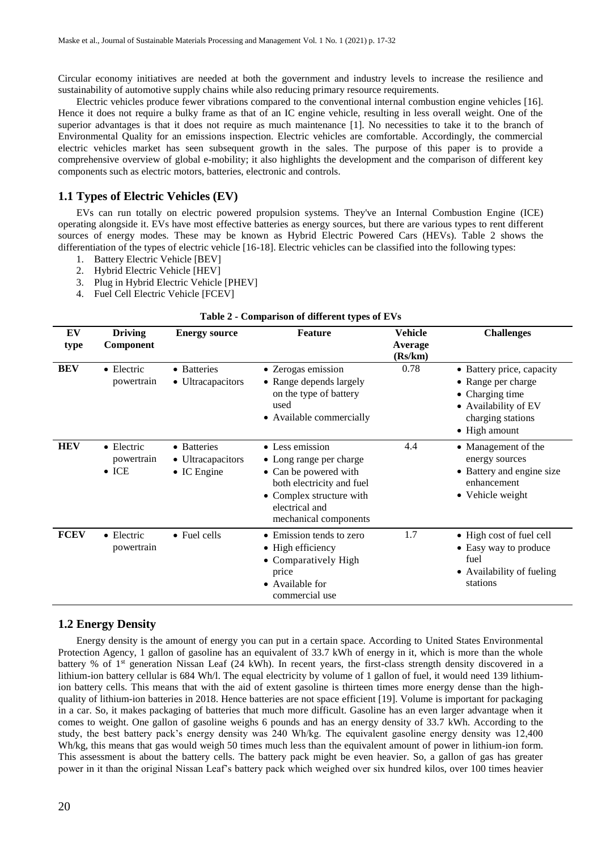Circular economy initiatives are needed at both the government and industry levels to increase the resilience and sustainability of automotive supply chains while also reducing primary resource requirements.

Electric vehicles produce fewer vibrations compared to the conventional internal combustion engine vehicles [16]. Hence it does not require a bulky frame as that of an IC engine vehicle, resulting in less overall weight. One of the superior advantages is that it does not require as much maintenance [1]. No necessities to take it to the branch of Environmental Quality for an emissions inspection. Electric vehicles are comfortable. Accordingly, the commercial electric vehicles market has seen subsequent growth in the sales. The purpose of this paper is to provide a comprehensive overview of global e-mobility; it also highlights the development and the comparison of different key components such as electric motors, batteries, electronic and controls.

## **1.1 Types of Electric Vehicles (EV)**

EVs can run totally on electric powered propulsion systems. They've an Internal Combustion Engine (ICE) operating alongside it. EVs have most effective batteries as energy sources, but there are various types to rent different sources of energy modes. These may be known as Hybrid Electric Powered Cars (HEVs). Table 2 shows the differentiation of the types of electric vehicle [16-18]. Electric vehicles can be classified into the following types:

- 1. Battery Electric Vehicle [BEV]
- 2. Hybrid Electric Vehicle [HEV]
- 3. Plug in Hybrid Electric Vehicle [PHEV]
- 4. Fuel Cell Electric Vehicle [FCEV]

| $\frac{1}{2}$ and $\frac{1}{2}$ - Comparison of unit tent types of E vs |                                                   |                                                         |                                                                                                                                                                         |                                      |                                                                                                                                          |
|-------------------------------------------------------------------------|---------------------------------------------------|---------------------------------------------------------|-------------------------------------------------------------------------------------------------------------------------------------------------------------------------|--------------------------------------|------------------------------------------------------------------------------------------------------------------------------------------|
| EV<br>type                                                              | <b>Driving</b><br>Component                       | <b>Energy source</b>                                    | <b>Feature</b>                                                                                                                                                          | <b>Vehicle</b><br>Average<br>(Rs/km) | <b>Challenges</b>                                                                                                                        |
| <b>BEV</b>                                                              | $\bullet$ Electric<br>powertrain                  | • Batteries<br>• Ultracapacitors                        | • Zerogas emission<br>• Range depends largely<br>on the type of battery<br>used<br>• Available commercially                                                             | 0.78                                 | • Battery price, capacity<br>• Range per charge<br>• Charging time<br>• Availability of EV<br>charging stations<br>$\bullet$ High amount |
| <b>HEV</b>                                                              | $\bullet$ Electric<br>powertrain<br>$\bullet$ ICE | • Batteries<br>• Ultracapacitors<br>$\bullet$ IC Engine | • Less emission<br>• Long range per charge<br>• Can be powered with<br>both electricity and fuel<br>• Complex structure with<br>electrical and<br>mechanical components | 4.4                                  | • Management of the<br>energy sources<br>• Battery and engine size<br>enhancement<br>• Vehicle weight                                    |
| <b>FCEV</b>                                                             | $\bullet$ Electric<br>powertrain                  | $\bullet$ Fuel cells                                    | • Emission tends to zero<br>$\bullet$ High efficiency<br>• Comparatively High<br>price<br>• Available for<br>commercial use                                             | 1.7                                  | • High cost of fuel cell<br>• Easy way to produce<br>fuel<br>• Availability of fueling<br>stations                                       |

# **Table 2 - Comparison of different types of EVs**

## **1.2 Energy Density**

Energy density is the amount of energy you can put in a certain space. According to United States Environmental Protection Agency, 1 gallon of gasoline has an equivalent of 33.7 kWh of energy in it, which is more than the whole battery % of 1<sup>st</sup> generation Nissan Leaf (24 kWh). In recent years, the first-class strength density discovered in a lithium-ion battery cellular is 684 Wh/l. The equal electricity by volume of 1 gallon of fuel, it would need 139 lithiumion battery cells. This means that with the aid of extent gasoline is thirteen times more energy dense than the highquality of lithium-ion batteries in 2018. Hence batteries are not space efficient [19]. Volume is important for packaging in a car. So, it makes packaging of batteries that much more difficult. Gasoline has an even larger advantage when it comes to weight. One gallon of gasoline weighs 6 pounds and has an energy density of 33.7 kWh. According to the study, the best battery pack's energy density was 240 Wh/kg. The equivalent gasoline energy density was 12,400 Wh/kg, this means that gas would weigh 50 times much less than the equivalent amount of power in lithium-ion form. This assessment is about the battery cells. The battery pack might be even heavier. So, a gallon of gas has greater power in it than the original Nissan Leaf's battery pack which weighed over six hundred kilos, over 100 times heavier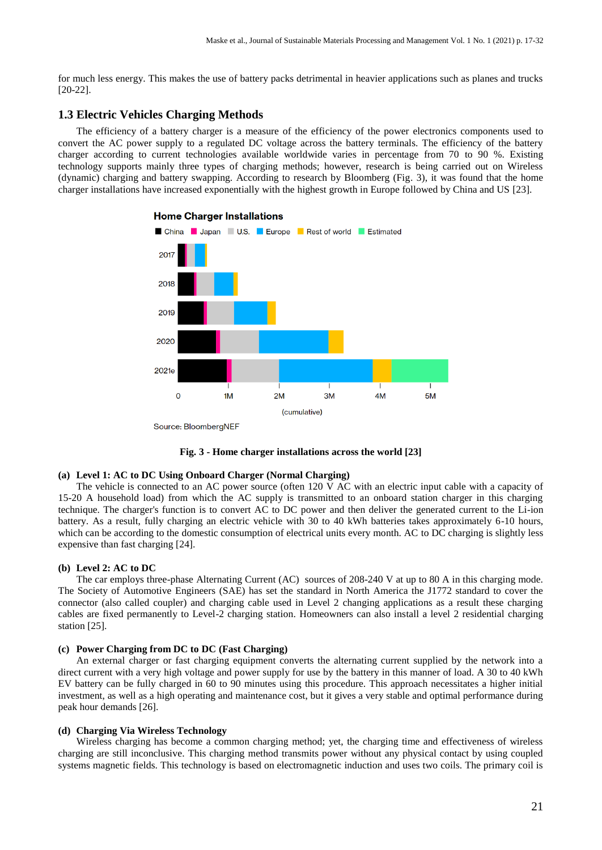for much less energy. This makes the use of battery packs detrimental in heavier applications such as planes and trucks [20-22].

## **1.3 Electric Vehicles Charging Methods**

The efficiency of a battery charger is a measure of the efficiency of the power electronics components used to convert the AC power supply to a regulated DC voltage across the battery terminals. The efficiency of the battery charger according to current technologies available worldwide varies in percentage from 70 to 90 %. Existing technology supports mainly three types of charging methods; however, research is being carried out on Wireless (dynamic) charging and battery swapping. According to research by Bloomberg (Fig. 3), it was found that the home charger installations have increased exponentially with the highest growth in Europe followed by China and US [23].



#### **Home Charger Installations**



#### **(a) Level 1: AC to DC Using Onboard Charger (Normal Charging)**

The vehicle is connected to an AC power source (often 120 V AC with an electric input cable with a capacity of 15-20 A household load) from which the AC supply is transmitted to an onboard station charger in this charging technique. The charger's function is to convert AC to DC power and then deliver the generated current to the Li-ion battery. As a result, fully charging an electric vehicle with 30 to 40 kWh batteries takes approximately 6-10 hours, which can be according to the domestic consumption of electrical units every month. AC to DC charging is slightly less expensive than fast charging [24].

### **(b) Level 2: AC to DC**

The car employs three-phase Alternating Current (AC) sources of 208-240 V at up to 80 A in this charging mode. The Society of Automotive Engineers (SAE) has set the standard in North America the J1772 standard to cover the connector (also called coupler) and charging cable used in Level 2 changing applications as a result these charging cables are fixed permanently to Level-2 charging station. Homeowners can also install a level 2 residential charging station [25].

#### **(c) Power Charging from DC to DC (Fast Charging)**

An external charger or fast charging equipment converts the alternating current supplied by the network into a direct current with a very high voltage and power supply for use by the battery in this manner of load. A 30 to 40 kWh EV battery can be fully charged in 60 to 90 minutes using this procedure. This approach necessitates a higher initial investment, as well as a high operating and maintenance cost, but it gives a very stable and optimal performance during peak hour demands [26].

#### **(d) Charging Via Wireless Technology**

Wireless charging has become a common charging method; yet, the charging time and effectiveness of wireless charging are still inconclusive. This charging method transmits power without any physical contact by using coupled systems magnetic fields. This technology is based on electromagnetic induction and uses two coils. The primary coil is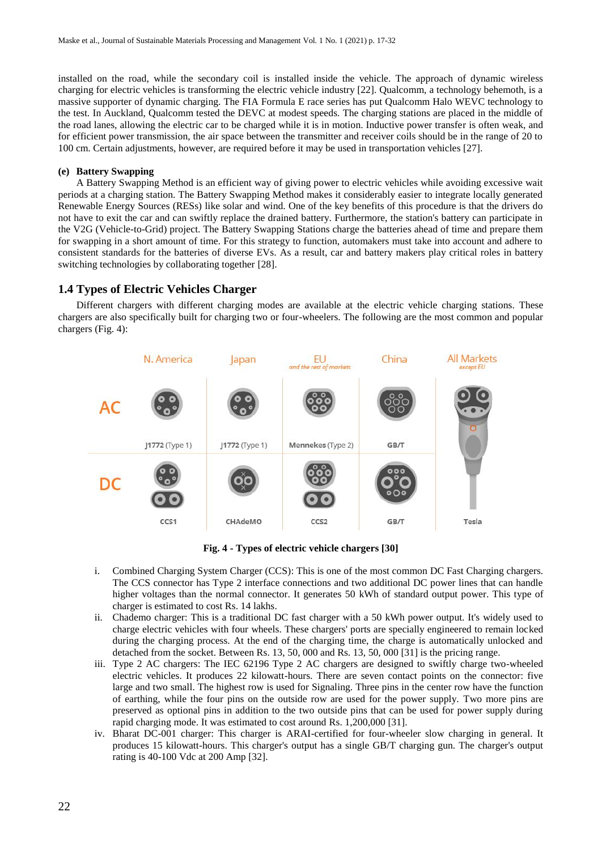installed on the road, while the secondary coil is installed inside the vehicle. The approach of dynamic wireless charging for electric vehicles is transforming the electric vehicle industry [22]. Qualcomm, a technology behemoth, is a massive supporter of dynamic charging. The FIA Formula E race series has put Qualcomm Halo WEVC technology to the test. In Auckland, Qualcomm tested the DEVC at modest speeds. The charging stations are placed in the middle of the road lanes, allowing the electric car to be charged while it is in motion. Inductive power transfer is often weak, and for efficient power transmission, the air space between the transmitter and receiver coils should be in the range of 20 to 100 cm. Certain adjustments, however, are required before it may be used in transportation vehicles [27].

## **(e) Battery Swapping**

A Battery Swapping Method is an efficient way of giving power to electric vehicles while avoiding excessive wait periods at a charging station. The Battery Swapping Method makes it considerably easier to integrate locally generated Renewable Energy Sources (RESs) like solar and wind. One of the key benefits of this procedure is that the drivers do not have to exit the car and can swiftly replace the drained battery. Furthermore, the station's battery can participate in the V2G (Vehicle-to-Grid) project. The Battery Swapping Stations charge the batteries ahead of time and prepare them for swapping in a short amount of time. For this strategy to function, automakers must take into account and adhere to consistent standards for the batteries of diverse EVs. As a result, car and battery makers play critical roles in battery switching technologies by collaborating together [28].

## **1.4 Types of Electric Vehicles Charger**

Different chargers with different charging modes are available at the electric vehicle charging stations. These chargers are also specifically built for charging two or four-wheelers. The following are the most common and popular chargers (Fig. 4):



**Fig. 4 - Types of electric vehicle chargers [30]**

- i. Combined Charging System Charger (CCS): This is one of the most common DC Fast Charging chargers. The CCS connector has Type 2 interface connections and two additional DC power lines that can handle higher voltages than the normal connector. It generates 50 kWh of standard output power. This type of charger is estimated to cost Rs. 14 lakhs.
- ii. Chademo charger: This is a traditional DC fast charger with a 50 kWh power output. It's widely used to charge electric vehicles with four wheels. These chargers' ports are specially engineered to remain locked during the charging process. At the end of the charging time, the charge is automatically unlocked and detached from the socket. Between Rs. 13, 50, 000 and Rs. 13, 50, 000 [31] is the pricing range.
- iii. Type 2 AC chargers: The IEC 62196 Type 2 AC chargers are designed to swiftly charge two-wheeled electric vehicles. It produces 22 kilowatt-hours. There are seven contact points on the connector: five large and two small. The highest row is used for Signaling. Three pins in the center row have the function of earthing, while the four pins on the outside row are used for the power supply. Two more pins are preserved as optional pins in addition to the two outside pins that can be used for power supply during rapid charging mode. It was estimated to cost around Rs. 1,200,000 [31].
- iv. Bharat DC-001 charger: This charger is ARAI-certified for four-wheeler slow charging in general. It produces 15 kilowatt-hours. This charger's output has a single GB/T charging gun. The charger's output rating is 40-100 Vdc at 200 Amp [32].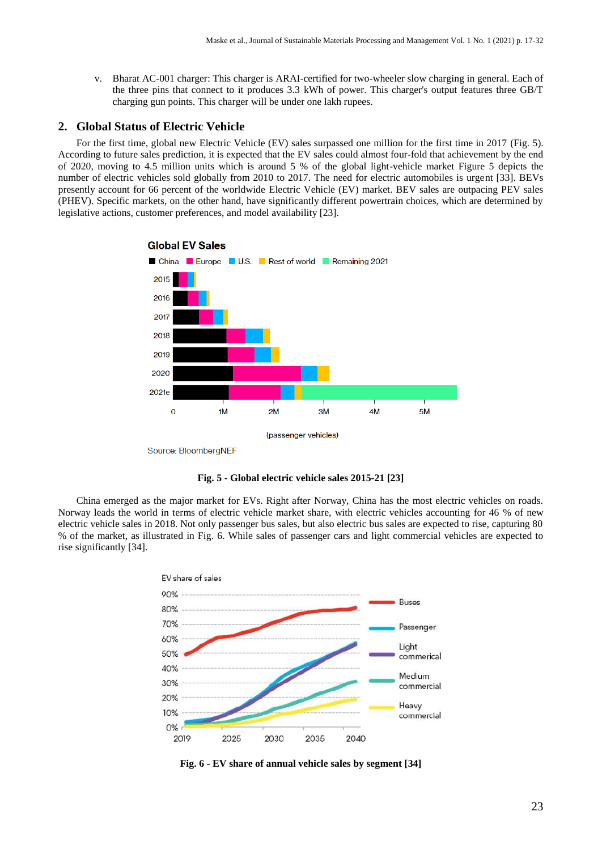v. Bharat AC-001 charger: This charger is ARAI-certified for two-wheeler slow charging in general. Each of the three pins that connect to it produces 3.3 kWh of power. This charger's output features three GB/T charging gun points. This charger will be under one lakh rupees.

## **2. Global Status of Electric Vehicle**

For the first time, global new Electric Vehicle (EV) sales surpassed one million for the first time in 2017 (Fig. 5). According to future sales prediction, it is expected that the EV sales could almost four-fold that achievement by the end of 2020, moving to 4.5 million units which is around 5 % of the global light-vehicle market Figure 5 depicts the number of electric vehicles sold globally from 2010 to 2017. The need for electric automobiles is urgent [33]. BEVs presently account for 66 percent of the worldwide Electric Vehicle (EV) market. BEV sales are outpacing PEV sales (PHEV). Specific markets, on the other hand, have significantly different powertrain choices, which are determined by legislative actions, customer preferences, and model availability [23].



**Fig. 5 - Global electric vehicle sales 2015-21 [23]**

China emerged as the major market for EVs. Right after Norway, China has the most electric vehicles on roads. Norway leads the world in terms of electric vehicle market share, with electric vehicles accounting for 46 % of new electric vehicle sales in 2018. Not only passenger bus sales, but also electric bus sales are expected to rise, capturing 80 % of the market, as illustrated in Fig. 6. While sales of passenger cars and light commercial vehicles are expected to rise significantly [34].



**Fig. 6 - EV share of annual vehicle sales by segment [34]**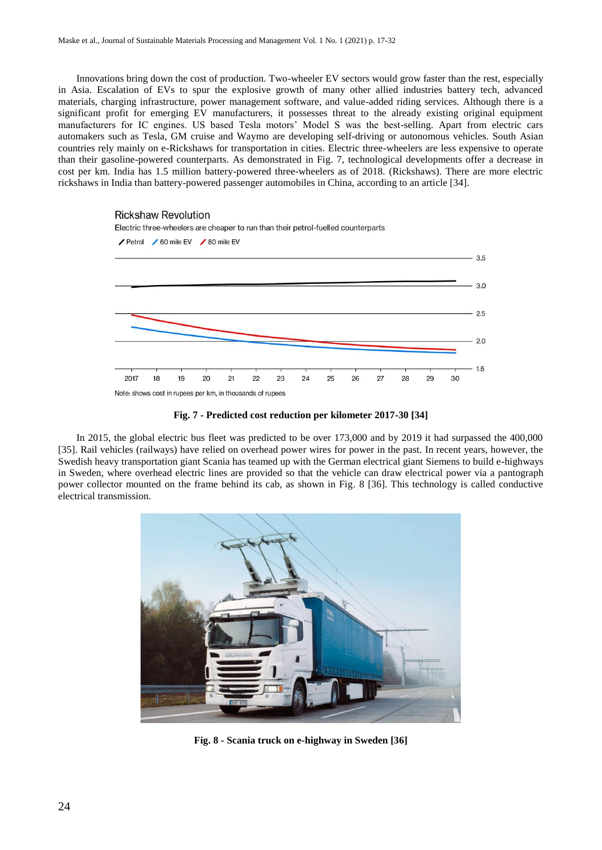Innovations bring down the cost of production. Two-wheeler EV sectors would grow faster than the rest, especially in Asia. Escalation of EVs to spur the explosive growth of many other allied industries battery tech, advanced materials, charging infrastructure, power management software, and value-added riding services. Although there is a significant profit for emerging EV manufacturers, it possesses threat to the already existing original equipment manufacturers for IC engines. US based Tesla motors' Model S was the best-selling. Apart from electric cars automakers such as Tesla, GM cruise and Waymo are developing self-driving or autonomous vehicles. South Asian countries rely mainly on e-Rickshaws for transportation in cities. Electric three-wheelers are less expensive to operate than their gasoline-powered counterparts. As demonstrated in Fig. 7, technological developments offer a decrease in cost per km. India has 1.5 million battery-powered three-wheelers as of 2018. (Rickshaws). There are more electric rickshaws in India than battery-powered passenger automobiles in China, according to an article [34].





In 2015, the global electric bus fleet was predicted to be over 173,000 and by 2019 it had surpassed the 400,000 [35]. Rail vehicles (railways) have relied on overhead power wires for power in the past. In recent years, however, the Swedish heavy transportation giant Scania has teamed up with the German electrical giant Siemens to build e-highways in Sweden, where overhead electric lines are provided so that the vehicle can draw electrical power via a pantograph power collector mounted on the frame behind its cab, as shown in Fig. 8 [36]. This technology is called conductive electrical transmission.



**Fig. 8 - Scania truck on e-highway in Sweden [36]**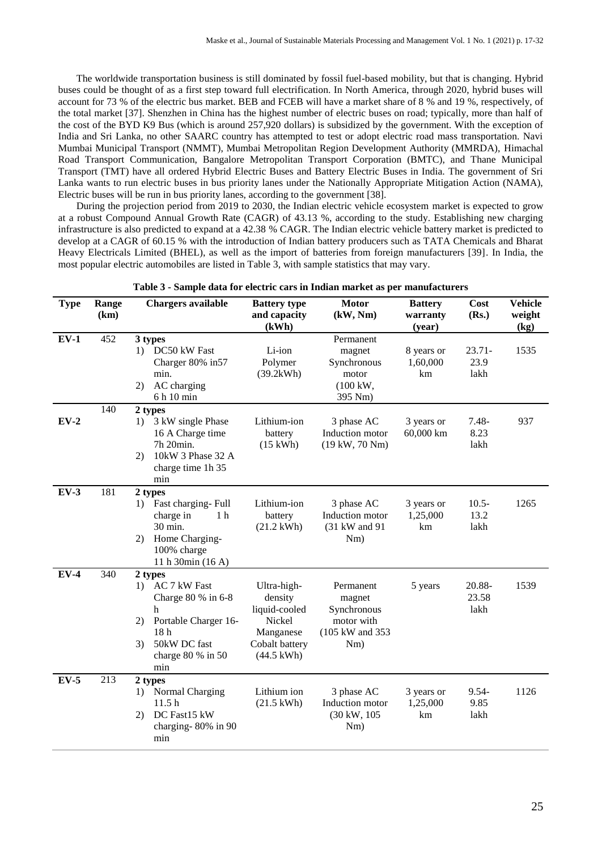The worldwide transportation business is still dominated by fossil fuel-based mobility, but that is changing. Hybrid buses could be thought of as a first step toward full electrification. In North America, through 2020, hybrid buses will account for 73 % of the electric bus market. BEB and FCEB will have a market share of 8 % and 19 %, respectively, of the total market [37]. Shenzhen in China has the highest number of electric buses on road; typically, more than half of the cost of the BYD K9 Bus (which is around 257,920 dollars) is subsidized by the government. With the exception of India and Sri Lanka, no other SAARC country has attempted to test or adopt electric road mass transportation. Navi Mumbai Municipal Transport (NMMT), Mumbai Metropolitan Region Development Authority (MMRDA), Himachal Road Transport Communication, Bangalore Metropolitan Transport Corporation (BMTC), and Thane Municipal Transport (TMT) have all ordered Hybrid Electric Buses and Battery Electric Buses in India. The government of Sri Lanka wants to run electric buses in bus priority lanes under the Nationally Appropriate Mitigation Action (NAMA), Electric buses will be run in bus priority lanes, according to the government [38].

During the projection period from 2019 to 2030, the Indian electric vehicle ecosystem market is expected to grow at a robust Compound Annual Growth Rate (CAGR) of 43.13 %, according to the study. Establishing new charging infrastructure is also predicted to expand at a 42.38 % CAGR. The Indian electric vehicle battery market is predicted to develop at a CAGR of 60.15 % with the introduction of Indian battery producers such as TATA Chemicals and Bharat Heavy Electricals Limited (BHEL), as well as the import of batteries from foreign manufacturers [39]. In India, the most popular electric automobiles are listed in Table 3, with sample statistics that may vary.

| <b>Type</b> | Range<br>(km) | <b>Chargers available</b>                                                                                                                                        | <b>Battery type</b><br>and capacity<br>(kWh)                                                             | <b>Motor</b><br>(kW, Nm)                                                     | <b>Battery</b><br>warranty<br>(year) | Cost<br>(Rs.)             | <b>Vehicle</b><br>weight<br>(kg) |
|-------------|---------------|------------------------------------------------------------------------------------------------------------------------------------------------------------------|----------------------------------------------------------------------------------------------------------|------------------------------------------------------------------------------|--------------------------------------|---------------------------|----------------------------------|
| $EV-1$      | 452           | 3 types<br>1) DC50 kW Fast<br>Charger 80% in 57<br>min.<br>AC charging<br>2)<br>6 h 10 min                                                                       | Li-ion<br>Polymer<br>(39.2kWh)                                                                           | Permanent<br>magnet<br>Synchronous<br>motor<br>$(100 \text{ kW},$<br>395 Nm) | 8 years or<br>1,60,000<br>km         | $23.71 -$<br>23.9<br>lakh | 1535                             |
| $EV-2$      | 140           | 2 types<br>3 kW single Phase<br>1)<br>16 A Charge time<br>7h 20min.<br>10kW 3 Phase 32 A<br>(2)<br>charge time 1h 35<br>min                                      | Lithium-ion<br>battery<br>$(15 \text{ kWh})$                                                             | 3 phase AC<br>Induction motor<br>$(19 \text{ kW}, 70 \text{ Nm})$            | 3 years or<br>60,000 km              | $7.48 -$<br>8.23<br>lakh  | 937                              |
| $EV-3$      | 181           | 2 types<br>Fast charging-Full<br>1)<br>charge in<br>1 <sub>h</sub><br>30 min.<br>Home Charging-<br>2)<br>100% charge<br>11 h 30min (16 A)                        | Lithium-ion<br>battery<br>$(21.2 \text{ kWh})$                                                           | 3 phase AC<br>Induction motor<br>(31 kW and 91<br>Nm)                        | 3 years or<br>1,25,000<br>km         | $10.5 -$<br>13.2<br>lakh  | 1265                             |
| $EV-4$      | 340           | 2 types<br>AC 7 kW Fast<br>1)<br>Charge 80 % in 6-8<br>h<br>Portable Charger 16-<br>2)<br>18 <sub>h</sub><br>50kW DC fast<br>3)<br>charge $80 \%$ in $50$<br>min | Ultra-high-<br>density<br>liquid-cooled<br>Nickel<br>Manganese<br>Cobalt battery<br>$(44.5 \text{ kWh})$ | Permanent<br>magnet<br>Synchronous<br>motor with<br>(105 kW and 353)<br>Nm)  | 5 years                              | 20.88-<br>23.58<br>lakh   | 1539                             |
| $EV-5$      | 213           | 2 types<br>Normal Charging<br>1)<br>11.5 <sub>h</sub><br>DC Fast15 kW<br>2)<br>charging-80% in 90<br>min                                                         | Lithium ion<br>$(21.5 \text{ kWh})$                                                                      | 3 phase AC<br>Induction motor<br>(30 kW, 105)<br>Nm)                         | 3 years or<br>1,25,000<br>km         | $9.54 -$<br>9.85<br>lakh  | 1126                             |

**Table 3 - Sample data for electric cars in Indian market as per manufacturers**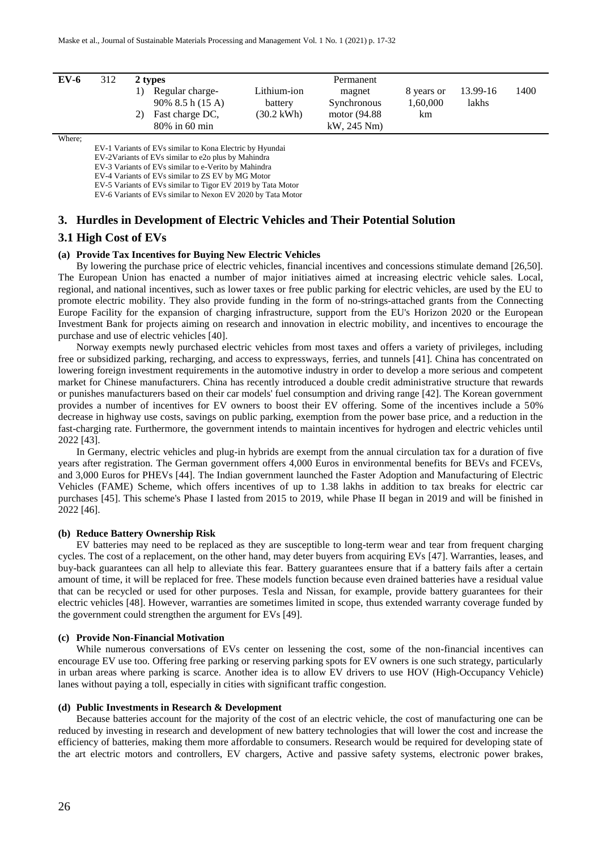| $EV-6$ | 312 |     | 2 types                                                                      |                                                | Permanent                                                       |                              |                   |      |
|--------|-----|-----|------------------------------------------------------------------------------|------------------------------------------------|-----------------------------------------------------------------|------------------------------|-------------------|------|
|        |     | ን ነ | Regular charge-<br>$90\%~8.5~h(15~A)$<br>Fast charge DC,<br>$80\%$ in 60 min | Lithium-ion<br>battery<br>$(30.2 \text{ kWh})$ | magnet<br><b>Synchronous</b><br>motor (94.88)<br>$kW$ , 245 Nm) | 8 years or<br>1,60,000<br>km | 13.99-16<br>lakhs | 1400 |

Where;

EV-1 Variants of EVs similar to Kona Electric by Hyundai

EV-2Variants of EVs similar to e2o plus by Mahindra

EV-3 Variants of EVs similar to e-Verito by Mahindra

EV-4 Variants of EVs similar to ZS EV by MG Motor EV-5 Variants of EVs similar to Tigor EV 2019 by Tata Motor

EV-6 Variants of EVs similar to Nexon EV 2020 by Tata Motor

## **3. Hurdles in Development of Electric Vehicles and Their Potential Solution**

## **3.1 High Cost of EVs**

#### **(a) Provide Tax Incentives for Buying New Electric Vehicles**

By lowering the purchase price of electric vehicles, financial incentives and concessions stimulate demand [26,50]. The European Union has enacted a number of major initiatives aimed at increasing electric vehicle sales. Local, regional, and national incentives, such as lower taxes or free public parking for electric vehicles, are used by the EU to promote electric mobility. They also provide funding in the form of no-strings-attached grants from the Connecting Europe Facility for the expansion of charging infrastructure, support from the EU's Horizon 2020 or the European Investment Bank for projects aiming on research and innovation in electric mobility, and incentives to encourage the purchase and use of electric vehicles [40].

Norway exempts newly purchased electric vehicles from most taxes and offers a variety of privileges, including free or subsidized parking, recharging, and access to expressways, ferries, and tunnels [41]. China has concentrated on lowering foreign investment requirements in the automotive industry in order to develop a more serious and competent market for Chinese manufacturers. China has recently introduced a double credit administrative structure that rewards or punishes manufacturers based on their car models' fuel consumption and driving range [42]. The Korean government provides a number of incentives for EV owners to boost their EV offering. Some of the incentives include a 50% decrease in highway use costs, savings on public parking, exemption from the power base price, and a reduction in the fast-charging rate. Furthermore, the government intends to maintain incentives for hydrogen and electric vehicles until 2022 [43].

In Germany, electric vehicles and plug-in hybrids are exempt from the annual circulation tax for a duration of five years after registration. The German government offers 4,000 Euros in environmental benefits for BEVs and FCEVs, and 3,000 Euros for PHEVs [44]. The Indian government launched the Faster Adoption and Manufacturing of Electric Vehicles (FAME) Scheme, which offers incentives of up to 1.38 lakhs in addition to tax breaks for electric car purchases [45]. This scheme's Phase I lasted from 2015 to 2019, while Phase II began in 2019 and will be finished in 2022 [46].

#### **(b) Reduce Battery Ownership Risk**

EV batteries may need to be replaced as they are susceptible to long-term wear and tear from frequent charging cycles. The cost of a replacement, on the other hand, may deter buyers from acquiring EVs [47]. Warranties, leases, and buy-back guarantees can all help to alleviate this fear. Battery guarantees ensure that if a battery fails after a certain amount of time, it will be replaced for free. These models function because even drained batteries have a residual value that can be recycled or used for other purposes. Tesla and Nissan, for example, provide battery guarantees for their electric vehicles [48]. However, warranties are sometimes limited in scope, thus extended warranty coverage funded by the government could strengthen the argument for EVs [49].

## **(c) Provide Non-Financial Motivation**

While numerous conversations of EVs center on lessening the cost, some of the non-financial incentives can encourage EV use too. Offering free parking or reserving parking spots for EV owners is one such strategy, particularly in urban areas where parking is scarce. Another idea is to allow EV drivers to use HOV (High-Occupancy Vehicle) lanes without paying a toll, especially in cities with significant traffic congestion.

#### **(d) Public Investments in Research & Development**

Because batteries account for the majority of the cost of an electric vehicle, the cost of manufacturing one can be reduced by investing in research and development of new battery technologies that will lower the cost and increase the efficiency of batteries, making them more affordable to consumers. Research would be required for developing state of the art electric motors and controllers, EV chargers, Active and passive safety systems, electronic power brakes,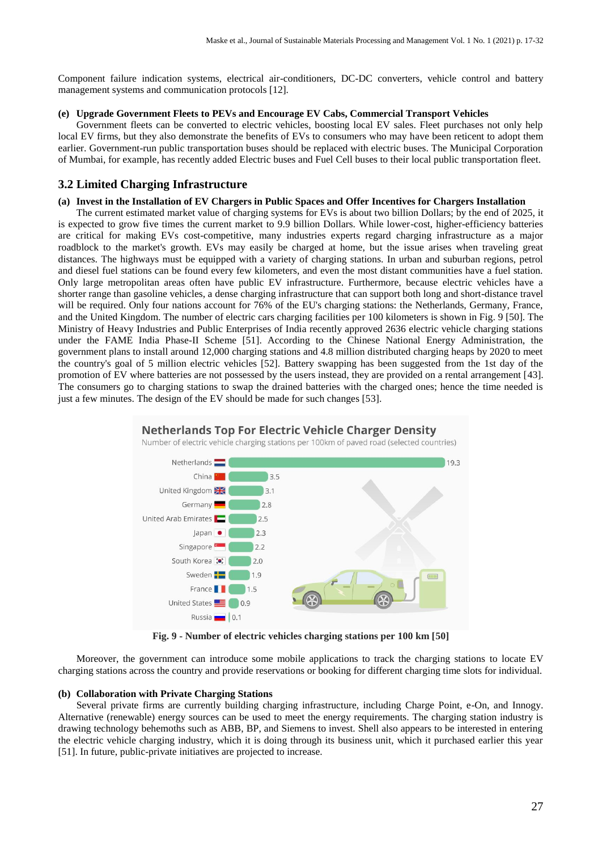Component failure indication systems, electrical air-conditioners, DC-DC converters, vehicle control and battery management systems and communication protocols [12].

#### **(e) Upgrade Government Fleets to PEVs and Encourage EV Cabs, Commercial Transport Vehicles**

Government fleets can be converted to electric vehicles, boosting local EV sales. Fleet purchases not only help local EV firms, but they also demonstrate the benefits of EVs to consumers who may have been reticent to adopt them earlier. Government-run public transportation buses should be replaced with electric buses. The Municipal Corporation of Mumbai, for example, has recently added Electric buses and Fuel Cell buses to their local public transportation fleet.

# **3.2 Limited Charging Infrastructure**

#### **(a) Invest in the Installation of EV Chargers in Public Spaces and Offer Incentives for Chargers Installation**

The current estimated market value of charging systems for EVs is about two billion Dollars; by the end of 2025, it is expected to grow five times the current market to 9.9 billion Dollars. While lower-cost, higher-efficiency batteries are critical for making EVs cost-competitive, many industries experts regard charging infrastructure as a major roadblock to the market's growth. EVs may easily be charged at home, but the issue arises when traveling great distances. The highways must be equipped with a variety of charging stations. In urban and suburban regions, petrol and diesel fuel stations can be found every few kilometers, and even the most distant communities have a fuel station. Only large metropolitan areas often have public EV infrastructure. Furthermore, because electric vehicles have a shorter range than gasoline vehicles, a dense charging infrastructure that can support both long and short-distance travel will be required. Only four nations account for 76% of the EU's charging stations: the Netherlands, Germany, France, and the United Kingdom. The number of electric cars charging facilities per 100 kilometers is shown in Fig. 9 [50]. The Ministry of Heavy Industries and Public Enterprises of India recently approved 2636 electric vehicle charging stations under the FAME India Phase-II Scheme [51]. According to the Chinese National Energy Administration, the government plans to install around 12,000 charging stations and 4.8 million distributed charging heaps by 2020 to meet the country's goal of 5 million electric vehicles [52]. Battery swapping has been suggested from the 1st day of the promotion of EV where batteries are not possessed by the users instead, they are provided on a rental arrangement [43]. The consumers go to charging stations to swap the drained batteries with the charged ones; hence the time needed is just a few minutes. The design of the EV should be made for such changes [53].



**Fig. 9 - Number of electric vehicles charging stations per 100 km [50]**

Moreover, the government can introduce some mobile applications to track the charging stations to locate EV charging stations across the country and provide reservations or booking for different charging time slots for individual.

## **(b) Collaboration with Private Charging Stations**

Several private firms are currently building charging infrastructure, including Charge Point, e-On, and Innogy. Alternative (renewable) energy sources can be used to meet the energy requirements. The charging station industry is drawing technology behemoths such as ABB, BP, and Siemens to invest. Shell also appears to be interested in entering the electric vehicle charging industry, which it is doing through its business unit, which it purchased earlier this year [51]. In future, public-private initiatives are projected to increase.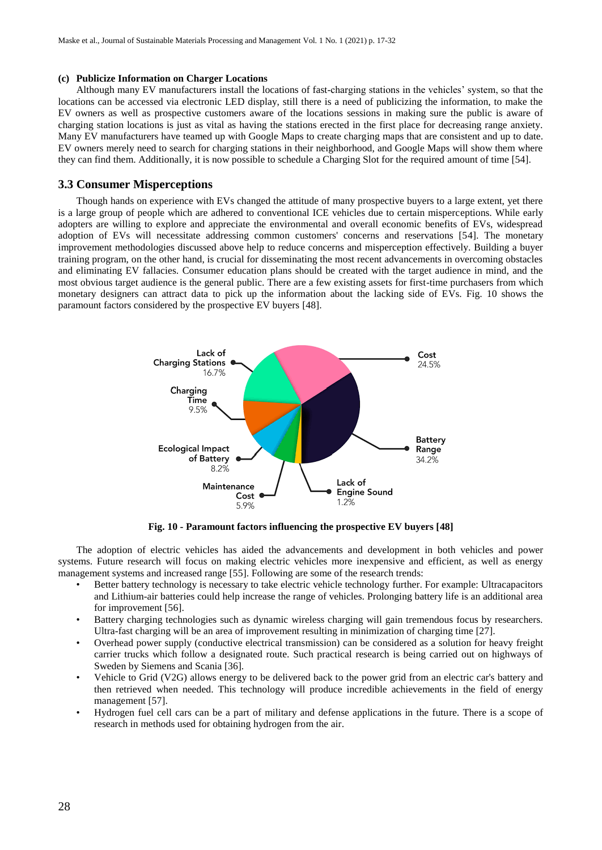#### **(c) Publicize Information on Charger Locations**

Although many EV manufacturers install the locations of fast-charging stations in the vehicles' system, so that the locations can be accessed via electronic LED display, still there is a need of publicizing the information, to make the EV owners as well as prospective customers aware of the locations sessions in making sure the public is aware of charging station locations is just as vital as having the stations erected in the first place for decreasing range anxiety. Many EV manufacturers have teamed up with Google Maps to create charging maps that are consistent and up to date. EV owners merely need to search for charging stations in their neighborhood, and Google Maps will show them where they can find them. Additionally, it is now possible to schedule a Charging Slot for the required amount of time [54].

## **3.3 Consumer Misperceptions**

Though hands on experience with EVs changed the attitude of many prospective buyers to a large extent, yet there is a large group of people which are adhered to conventional ICE vehicles due to certain misperceptions. While early adopters are willing to explore and appreciate the environmental and overall economic benefits of EVs, widespread adoption of EVs will necessitate addressing common customers' concerns and reservations [54]. The monetary improvement methodologies discussed above help to reduce concerns and misperception effectively. Building a buyer training program, on the other hand, is crucial for disseminating the most recent advancements in overcoming obstacles and eliminating EV fallacies. Consumer education plans should be created with the target audience in mind, and the most obvious target audience is the general public. There are a few existing assets for first-time purchasers from which monetary designers can attract data to pick up the information about the lacking side of EVs. Fig. 10 shows the paramount factors considered by the prospective EV buyers [48].



**Fig. 10 - Paramount factors influencing the prospective EV buyers [48]**

The adoption of electric vehicles has aided the advancements and development in both vehicles and power systems. Future research will focus on making electric vehicles more inexpensive and efficient, as well as energy management systems and increased range [55]. Following are some of the research trends:

- Better battery technology is necessary to take electric vehicle technology further. For example: Ultracapacitors and Lithium-air batteries could help increase the range of vehicles. Prolonging battery life is an additional area for improvement [56].
- Battery charging technologies such as dynamic wireless charging will gain tremendous focus by researchers. Ultra-fast charging will be an area of improvement resulting in minimization of charging time [27].
- Overhead power supply (conductive electrical transmission) can be considered as a solution for heavy freight carrier trucks which follow a designated route. Such practical research is being carried out on highways of Sweden by Siemens and Scania [36].
- Vehicle to Grid (V2G) allows energy to be delivered back to the power grid from an electric car's battery and then retrieved when needed. This technology will produce incredible achievements in the field of energy management [57].
- Hydrogen fuel cell cars can be a part of military and defense applications in the future. There is a scope of research in methods used for obtaining hydrogen from the air.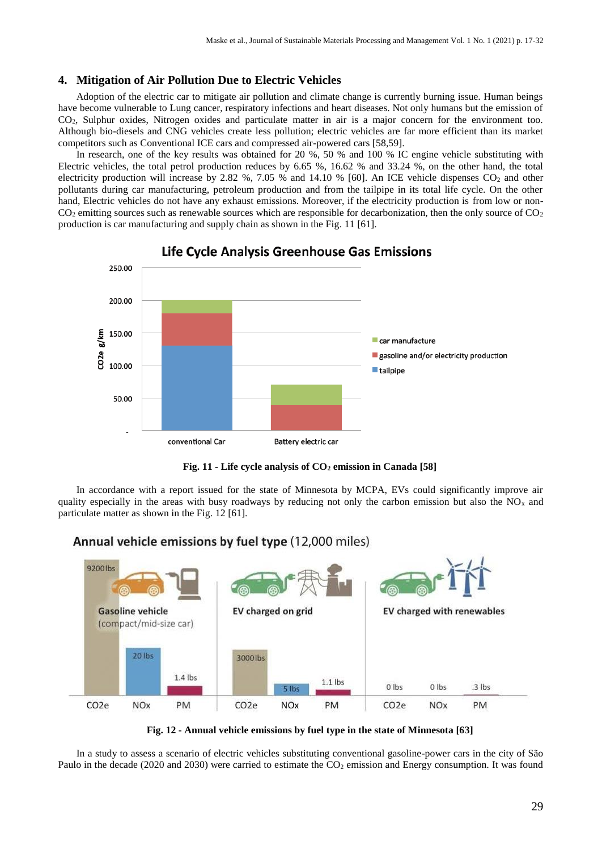# **4. Mitigation of Air Pollution Due to Electric Vehicles**

Adoption of the electric car to mitigate air pollution and climate change is currently burning issue. Human beings have become vulnerable to Lung cancer, respiratory infections and heart diseases. Not only humans but the emission of CO2, Sulphur oxides, Nitrogen oxides and particulate matter in air is a major concern for the environment too. Although bio-diesels and CNG vehicles create less pollution; electric vehicles are far more efficient than its market competitors such as Conventional ICE cars and compressed air-powered cars [58,59].

In research, one of the key results was obtained for 20 %, 50 % and 100 % IC engine vehicle substituting with Electric vehicles, the total petrol production reduces by 6.65 %, 16.62 % and 33.24 %, on the other hand, the total electricity production will increase by 2.82 %, 7.05 % and 14.10 % [60]. An ICE vehicle dispenses  $CO_2$  and other pollutants during car manufacturing, petroleum production and from the tailpipe in its total life cycle. On the other hand, Electric vehicles do not have any exhaust emissions. Moreover, if the electricity production is from low or non- $CO<sub>2</sub>$  emitting sources such as renewable sources which are responsible for decarbonization, then the only source of  $CO<sub>2</sub>$ production is car manufacturing and supply chain as shown in the Fig. 11 [61].



Life Cycle Analysis Greenhouse Gas Emissions

**Fig. 11 - Life cycle analysis of CO<sup>2</sup> emission in Canada [58]**

In accordance with a report issued for the state of Minnesota by MCPA, EVs could significantly improve air quality especially in the areas with busy roadways by reducing not only the carbon emission but also the  $NO<sub>x</sub>$  and particulate matter as shown in the Fig. 12 [61].



# Annual vehicle emissions by fuel type (12,000 miles)

**Fig. 12 - Annual vehicle emissions by fuel type in the state of Minnesota [63]**

In a study to assess a scenario of electric vehicles substituting conventional gasoline-power cars in the city of São Paulo in the decade (2020 and 2030) were carried to estimate the  $CO<sub>2</sub>$  emission and Energy consumption. It was found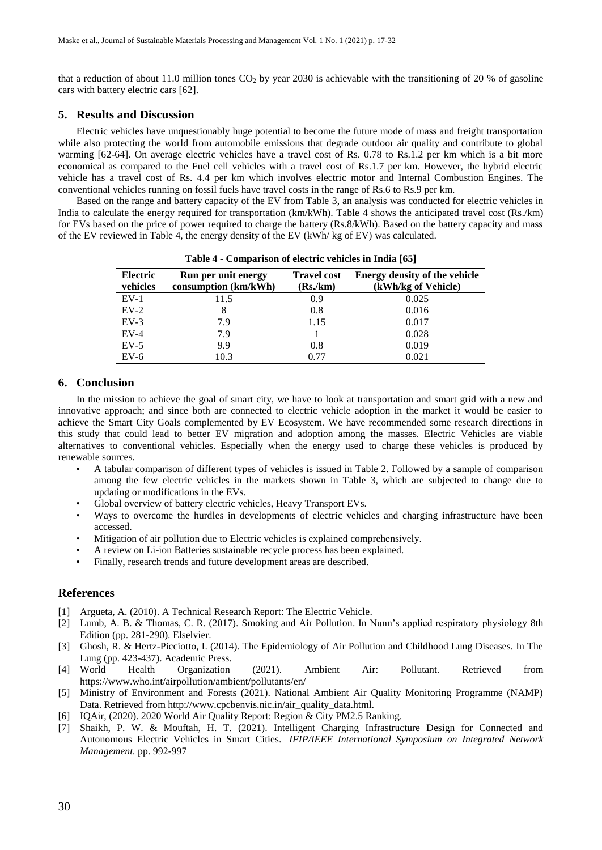that a reduction of about 11.0 million tones  $CO<sub>2</sub>$  by year 2030 is achievable with the transitioning of 20 % of gasoline cars with battery electric cars [62].

## **5. Results and Discussion**

Electric vehicles have unquestionably huge potential to become the future mode of mass and freight transportation while also protecting the world from automobile emissions that degrade outdoor air quality and contribute to global warming [62-64]. On average electric vehicles have a travel cost of Rs. 0.78 to Rs.1.2 per km which is a bit more economical as compared to the Fuel cell vehicles with a travel cost of Rs.1.7 per km. However, the hybrid electric vehicle has a travel cost of Rs. 4.4 per km which involves electric motor and Internal Combustion Engines. The conventional vehicles running on fossil fuels have travel costs in the range of Rs.6 to Rs.9 per km.

Based on the range and battery capacity of the EV from Table 3, an analysis was conducted for electric vehicles in India to calculate the energy required for transportation (km/kWh). Table 4 shows the anticipated travel cost (Rs./km) for EVs based on the price of power required to charge the battery (Rs.8/kWh). Based on the battery capacity and mass of the EV reviewed in Table 4, the energy density of the EV (kWh/ kg of EV) was calculated.

| Electric<br>vehicles | <b>Run per unit energy</b><br>consumption (km/kWh) | <b>Travel cost</b><br>(Rs./km) | <b>Energy density of the vehicle</b><br>(kWh/kg of Vehicle) |
|----------------------|----------------------------------------------------|--------------------------------|-------------------------------------------------------------|
| $EV-1$               | 11.5                                               | 0.9                            | 0.025                                                       |
| $EV-2$               | 8                                                  | 0.8                            | 0.016                                                       |
| $EV-3$               | 7.9                                                | 1.15                           | 0.017                                                       |
| $EV-4$               | 7.9                                                |                                | 0.028                                                       |
| $EV-5$               | 9.9                                                | 0.8                            | 0.019                                                       |
| $EV-6$               | 10.3                                               | 0.77                           | 0.021                                                       |

**Table 4 - Comparison of electric vehicles in India [65]**

## **6. Conclusion**

In the mission to achieve the goal of smart city, we have to look at transportation and smart grid with a new and innovative approach; and since both are connected to electric vehicle adoption in the market it would be easier to achieve the Smart City Goals complemented by EV Ecosystem. We have recommended some research directions in this study that could lead to better EV migration and adoption among the masses. Electric Vehicles are viable alternatives to conventional vehicles. Especially when the energy used to charge these vehicles is produced by renewable sources.

- A tabular comparison of different types of vehicles is issued in Table 2. Followed by a sample of comparison among the few electric vehicles in the markets shown in Table 3, which are subjected to change due to updating or modifications in the EVs.
- Global overview of battery electric vehicles, Heavy Transport EVs.
- Ways to overcome the hurdles in developments of electric vehicles and charging infrastructure have been accessed.
- Mitigation of air pollution due to Electric vehicles is explained comprehensively.
- A review on Li-ion Batteries sustainable recycle process has been explained.
- Finally, research trends and future development areas are described.

# **References**

- [1] Argueta, A. (2010). A Technical Research Report: The Electric Vehicle.
- [2] Lumb, A. B. & Thomas, C. R. (2017). Smoking and Air Pollution. In Nunn's applied respiratory physiology 8th Edition (pp. 281-290). Elselvier.
- [3] Ghosh, R. & Hertz-Picciotto, I. (2014). The Epidemiology of Air Pollution and Childhood Lung Diseases. In The Lung (pp. 423-437). Academic Press.<br>[4] World Health Organization
- [4] World Health Organization (2021). Ambient Air: Pollutant. Retrieved from https://www.who.int/airpollution/ambient/pollutants/en/
- [5] Ministry of Environment and Forests (2021). National Ambient Air Quality Monitoring Programme (NAMP) Data. Retrieved from http://www.cpcbenvis.nic.in/air\_quality\_data.html.
- [6] IQAir, (2020). 2020 World Air Quality Report: Region & City PM2.5 Ranking.
- [7] Shaikh, P. W. & Mouftah, H. T. (2021). Intelligent Charging Infrastructure Design for Connected and Autonomous Electric Vehicles in Smart Cities. *IFIP/IEEE International Symposium on Integrated Network Management.* pp. 992-997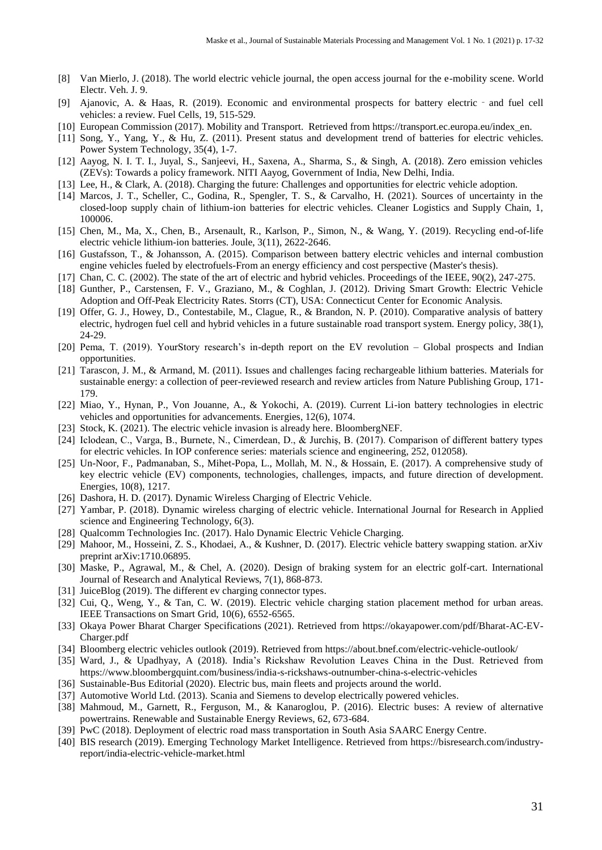- [8] Van Mierlo, J. (2018). The world electric vehicle journal, the open access journal for the e-mobility scene. World Electr. Veh. J. 9.
- [9] Ajanovic, A. & Haas, R. (2019). Economic and environmental prospects for battery electric and fuel cell vehicles: a review. Fuel Cells, 19, 515-529.
- [10] European Commission (2017). Mobility and Transport. Retrieved from https://transport.ec.europa.eu/index\_en.
- [11] Song, Y., Yang, Y., & Hu, Z. (2011). Present status and development trend of batteries for electric vehicles. Power System Technology, 35(4), 1-7.
- [12] Aayog, N. I. T. I., Juyal, S., Sanjeevi, H., Saxena, A., Sharma, S., & Singh, A. (2018). Zero emission vehicles (ZEVs): Towards a policy framework. NITI Aayog, Government of India, New Delhi, India.
- [13] Lee, H., & Clark, A. (2018). Charging the future: Challenges and opportunities for electric vehicle adoption.
- [14] Marcos, J. T., Scheller, C., Godina, R., Spengler, T. S., & Carvalho, H. (2021). Sources of uncertainty in the closed-loop supply chain of lithium-ion batteries for electric vehicles. Cleaner Logistics and Supply Chain, 1, 100006.
- [15] Chen, M., Ma, X., Chen, B., Arsenault, R., Karlson, P., Simon, N., & Wang, Y. (2019). Recycling end-of-life electric vehicle lithium-ion batteries. Joule, 3(11), 2622-2646.
- [16] Gustafsson, T., & Johansson, A. (2015). Comparison between battery electric vehicles and internal combustion engine vehicles fueled by electrofuels-From an energy efficiency and cost perspective (Master's thesis).
- [17] Chan, C. C. (2002). The state of the art of electric and hybrid vehicles. Proceedings of the IEEE, 90(2), 247-275.
- [18] Gunther, P., Carstensen, F. V., Graziano, M., & Coghlan, J. (2012). Driving Smart Growth: Electric Vehicle Adoption and Off-Peak Electricity Rates. Storrs (CT), USA: Connecticut Center for Economic Analysis.
- [19] Offer, G. J., Howey, D., Contestabile, M., Clague, R., & Brandon, N. P. (2010). Comparative analysis of battery electric, hydrogen fuel cell and hybrid vehicles in a future sustainable road transport system. Energy policy, 38(1), 24-29.
- [20] Pema, T. (2019). YourStory research's in-depth report on the EV revolution Global prospects and Indian opportunities.
- [21] Tarascon, J. M., & Armand, M. (2011). Issues and challenges facing rechargeable lithium batteries. Materials for sustainable energy: a collection of peer-reviewed research and review articles from Nature Publishing Group, 171- 179.
- [22] Miao, Y., Hynan, P., Von Jouanne, A., & Yokochi, A. (2019). Current Li-ion battery technologies in electric vehicles and opportunities for advancements. Energies, 12(6), 1074.
- [23] Stock, K. (2021). The electric vehicle invasion is already here. BloombergNEF.
- [24] Iclodean, C., Varga, B., Burnete, N., Cimerdean, D., & Jurchiş, B. (2017). Comparison of different battery types for electric vehicles. In IOP conference series: materials science and engineering, 252, 012058).
- [25] Un-Noor, F., Padmanaban, S., Mihet-Popa, L., Mollah, M. N., & Hossain, E. (2017). A comprehensive study of key electric vehicle (EV) components, technologies, challenges, impacts, and future direction of development. Energies, 10(8), 1217.
- [26] Dashora, H. D. (2017). Dynamic Wireless Charging of Electric Vehicle.
- [27] Yambar, P. (2018). Dynamic wireless charging of electric vehicle. International Journal for Research in Applied science and Engineering Technology, 6(3).
- [28] Qualcomm Technologies Inc. (2017). Halo Dynamic Electric Vehicle Charging.
- [29] Mahoor, M., Hosseini, Z. S., Khodaei, A., & Kushner, D. (2017). Electric vehicle battery swapping station. arXiv preprint arXiv:1710.06895.
- [30] Maske, P., Agrawal, M., & Chel, A. (2020). Design of braking system for an electric golf-cart. International Journal of Research and Analytical Reviews, 7(1), 868-873.
- [31] JuiceBlog (2019). The different ev charging connector types.
- [32] Cui, Q., Weng, Y., & Tan, C. W. (2019). Electric vehicle charging station placement method for urban areas. IEEE Transactions on Smart Grid, 10(6), 6552-6565.
- [33] Okaya Power Bharat Charger Specifications (2021). Retrieved from https://okayapower.com/pdf/Bharat-AC-EV-Charger.pdf
- [34] Bloomberg electric vehicles outlook (2019). Retrieved from https://about.bnef.com/electric-vehicle-outlook/
- [35] Ward, J., & Upadhyay, A (2018). India's Rickshaw Revolution Leaves China in the Dust. Retrieved from https://www.bloombergquint.com/business/india-s-rickshaws-outnumber-china-s-electric-vehicles
- [36] Sustainable-Bus Editorial (2020). Electric bus, main fleets and projects around the world.
- [37] Automotive World Ltd. (2013). Scania and Siemens to develop electrically powered vehicles.
- [38] Mahmoud, M., Garnett, R., Ferguson, M., & Kanaroglou, P. (2016). Electric buses: A review of alternative powertrains. Renewable and Sustainable Energy Reviews, 62, 673-684.
- [39] PwC (2018). Deployment of electric road mass transportation in South Asia SAARC Energy Centre.
- [40] BIS research (2019). Emerging Technology Market Intelligence. Retrieved from https://bisresearch.com/industryreport/india-electric-vehicle-market.html